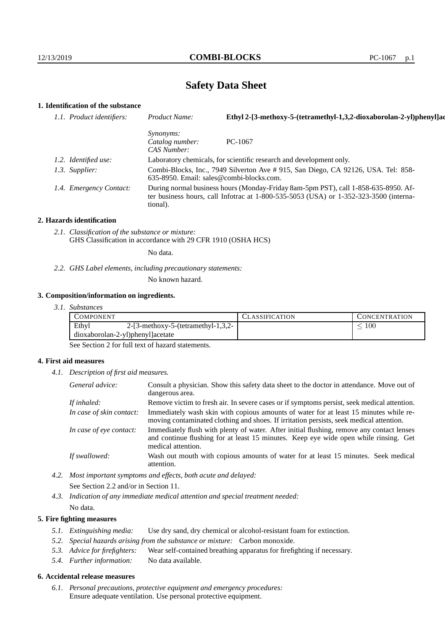# **Safety Data Sheet**

## **1. Identification of the substance**

| 1.1. Product identifiers: | Product Name:                                      | Ethyl 2-[3-methoxy-5-(tetramethyl-1,3,2-dioxaborolan-2-yl)phenyl]ac                                                                                                         |
|---------------------------|----------------------------------------------------|-----------------------------------------------------------------------------------------------------------------------------------------------------------------------------|
|                           | <i>Synonyms:</i><br>Catalog number:<br>CAS Number: | $PC-1067$                                                                                                                                                                   |
| 1.2. Identified use:      |                                                    | Laboratory chemicals, for scientific research and development only.                                                                                                         |
| 1.3. Supplier:            | $635-8950$ . Email: sales@combi-blocks.com.        | Combi-Blocks, Inc., 7949 Silverton Ave # 915, San Diego, CA 92126, USA. Tel: 858-                                                                                           |
| 1.4. Emergency Contact:   | tional).                                           | During normal business hours (Monday-Friday 8am-5pm PST), call 1-858-635-8950. Af-<br>ter business hours, call Infotrac at 1-800-535-5053 (USA) or 1-352-323-3500 (interna- |

#### **2. Hazards identification**

*2.1. Classification of the substance or mixture:* GHS Classification in accordance with 29 CFR 1910 (OSHA HCS)

No data.

*2.2. GHS Label elements, including precautionary statements:*

No known hazard.

#### **3. Composition/information on ingredients.**

|  | 3. I. | <i>Substances</i> |
|--|-------|-------------------|
|--|-------|-------------------|

| COMPONENT                        |                                         | <b>ASSIFICATION</b> | CONCENTRATION |
|----------------------------------|-----------------------------------------|---------------------|---------------|
| Ethyl                            | $2-[3-methoxy-5-(tetramethyl-1,3,2-1)]$ |                     | 100           |
| dioxaborolan-2-yl)phenyl]acetate |                                         |                     |               |

See Section 2 for full text of hazard statements.

### **4. First aid measures**

*4.1. Description of first aid measures.*

| General advice:          | Consult a physician. Show this safety data sheet to the doctor in attendance. Move out of<br>dangerous area.                                                                                            |
|--------------------------|---------------------------------------------------------------------------------------------------------------------------------------------------------------------------------------------------------|
| If inhaled:              | Remove victim to fresh air. In severe cases or if symptoms persist, seek medical attention.                                                                                                             |
| In case of skin contact: | Immediately wash skin with copious amounts of water for at least 15 minutes while re-<br>moving contaminated clothing and shoes. If irritation persists, seek medical attention.                        |
| In case of eye contact:  | Immediately flush with plenty of water. After initial flushing, remove any contact lenses<br>and continue flushing for at least 15 minutes. Keep eye wide open while rinsing. Get<br>medical attention. |
| If swallowed:            | Wash out mouth with copious amounts of water for at least 15 minutes. Seek medical<br>attention.                                                                                                        |

*4.2. Most important symptoms and effects, both acute and delayed:* See Section 2.2 and/or in Section 11.

*4.3. Indication of any immediate medical attention and special treatment needed:* No data.

## **5. Fire fighting measures**

- *5.1. Extinguishing media:* Use dry sand, dry chemical or alcohol-resistant foam for extinction.
- *5.2. Special hazards arising from the substance or mixture:* Carbon monoxide.
- *5.3. Advice for firefighters:* Wear self-contained breathing apparatus for firefighting if necessary.
- *5.4. Further information:* No data available.

## **6. Accidental release measures**

*6.1. Personal precautions, protective equipment and emergency procedures:* Ensure adequate ventilation. Use personal protective equipment.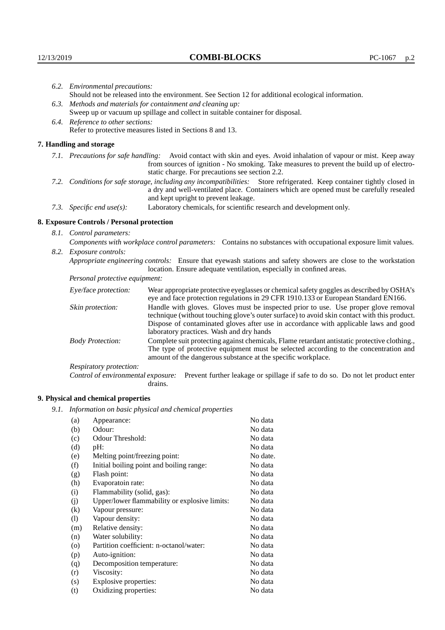|                                   | 6.2. Environmental precautions:                                                                                                                                                                                                                            |                                                                                                                                                                                                                                                                            |  |  |  |
|-----------------------------------|------------------------------------------------------------------------------------------------------------------------------------------------------------------------------------------------------------------------------------------------------------|----------------------------------------------------------------------------------------------------------------------------------------------------------------------------------------------------------------------------------------------------------------------------|--|--|--|
|                                   | Should not be released into the environment. See Section 12 for additional ecological information.                                                                                                                                                         |                                                                                                                                                                                                                                                                            |  |  |  |
|                                   | 6.3. Methods and materials for containment and cleaning up:                                                                                                                                                                                                |                                                                                                                                                                                                                                                                            |  |  |  |
|                                   | Sweep up or vacuum up spillage and collect in suitable container for disposal.                                                                                                                                                                             |                                                                                                                                                                                                                                                                            |  |  |  |
| 6.4. Reference to other sections: |                                                                                                                                                                                                                                                            |                                                                                                                                                                                                                                                                            |  |  |  |
|                                   |                                                                                                                                                                                                                                                            | Refer to protective measures listed in Sections 8 and 13.                                                                                                                                                                                                                  |  |  |  |
|                                   | 7. Handling and storage                                                                                                                                                                                                                                    |                                                                                                                                                                                                                                                                            |  |  |  |
|                                   |                                                                                                                                                                                                                                                            | 7.1. Precautions for safe handling: Avoid contact with skin and eyes. Avoid inhalation of vapour or mist. Keep away<br>from sources of ignition - No smoking. Take measures to prevent the build up of electro-<br>static charge. For precautions see section 2.2.         |  |  |  |
|                                   | 7.2. Conditions for safe storage, including any incompatibilities: Store refrigerated. Keep container tightly closed in<br>a dry and well-ventilated place. Containers which are opened must be carefully resealed<br>and kept upright to prevent leakage. |                                                                                                                                                                                                                                                                            |  |  |  |
|                                   | Laboratory chemicals, for scientific research and development only.<br>7.3. Specific end use(s):                                                                                                                                                           |                                                                                                                                                                                                                                                                            |  |  |  |
|                                   | 8. Exposure Controls / Personal protection                                                                                                                                                                                                                 |                                                                                                                                                                                                                                                                            |  |  |  |
|                                   | 8.1. Control parameters:                                                                                                                                                                                                                                   |                                                                                                                                                                                                                                                                            |  |  |  |
|                                   | Components with workplace control parameters: Contains no substances with occupational exposure limit values.                                                                                                                                              |                                                                                                                                                                                                                                                                            |  |  |  |
|                                   | 8.2. Exposure controls:                                                                                                                                                                                                                                    |                                                                                                                                                                                                                                                                            |  |  |  |
|                                   |                                                                                                                                                                                                                                                            | Appropriate engineering controls: Ensure that eyewash stations and safety showers are close to the workstation<br>location. Ensure adequate ventilation, especially in confined areas.                                                                                     |  |  |  |
|                                   | Personal protective equipment:                                                                                                                                                                                                                             |                                                                                                                                                                                                                                                                            |  |  |  |
|                                   | Eye/face protection:                                                                                                                                                                                                                                       | Wear appropriate protective eyeglasses or chemical safety goggles as described by OSHA's<br>eye and face protection regulations in 29 CFR 1910.133 or European Standard EN166.                                                                                             |  |  |  |
|                                   | Skin protection:                                                                                                                                                                                                                                           | Handle with gloves. Gloves must be inspected prior to use. Use proper glove removal<br>technique (without touching glove's outer surface) to avoid skin contact with this product.<br>Dispose of contaminated gloves after use in accordance with applicable laws and good |  |  |  |

Dispose of contaminated gloves after use in accordance with applicable laws and good laboratory practices. Wash and dry hands

Body Protection: Complete suit protecting against chemicals, Flame retardant antistatic protective clothing., The type of protective equipment must be selected according to the concentration and amount of the dangerous substance at the specific workplace.

Respiratory protection:

Control of environmental exposure: Prevent further leakage or spillage if safe to do so. Do not let product enter drains.

# **9. Physical and chemical properties**

*9.1. Information on basic physical and chemical properties*

| (a)                | Appearance:                                   | No data  |
|--------------------|-----------------------------------------------|----------|
| (b)                | Odour:                                        | No data  |
| (c)                | Odour Threshold:                              | No data  |
| (d)                | pH:                                           | No data  |
| (e)                | Melting point/freezing point:                 | No date. |
| (f)                | Initial boiling point and boiling range:      | No data  |
| (g)                | Flash point:                                  | No data  |
| (h)                | Evaporatoin rate:                             | No data  |
| (i)                | Flammability (solid, gas):                    | No data  |
| (i)                | Upper/lower flammability or explosive limits: | No data  |
| $\rm(k)$           | Vapour pressure:                              | No data  |
| (1)                | Vapour density:                               | No data  |
| (m)                | Relative density:                             | No data  |
| (n)                | Water solubility:                             | No data  |
| $\left( 0 \right)$ | Partition coefficient: n-octanol/water:       | No data  |
| (p)                | Auto-ignition:                                | No data  |
| (q)                | Decomposition temperature:                    | No data  |
| (r)                | Viscosity:                                    | No data  |
| (s)                | Explosive properties:                         | No data  |
| (t)                | Oxidizing properties:                         | No data  |